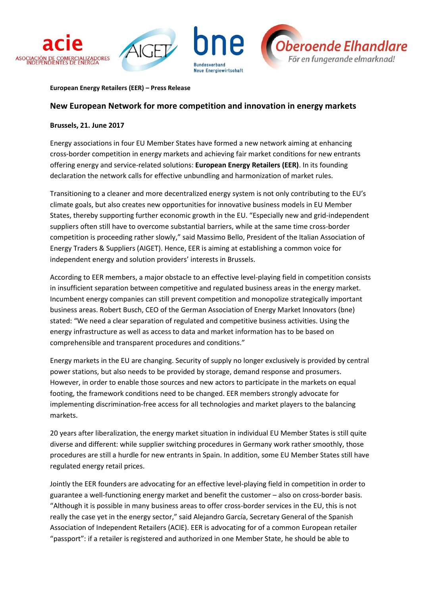

#### **European Energy Retailers (EER) – Press Release**

## **New European Network for more competition and innovation in energy markets**

### **Brussels, 21. June 2017**

Energy associations in four EU Member States have formed a new network aiming at enhancing cross-border competition in energy markets and achieving fair market conditions for new entrants offering energy and service-related solutions: **European Energy Retailers (EER)**. In its founding declaration the network calls for effective unbundling and harmonization of market rules.

Transitioning to a cleaner and more decentralized energy system is not only contributing to the EU's climate goals, but also creates new opportunities for innovative business models in EU Member States, thereby supporting further economic growth in the EU. "Especially new and grid-independent suppliers often still have to overcome substantial barriers, while at the same time cross-border competition is proceeding rather slowly," said Massimo Bello, President of the Italian Association of Energy Traders & Suppliers (AIGET). Hence, EER is aiming at establishing a common voice for independent energy and solution providers' interests in Brussels.

According to EER members, a major obstacle to an effective level-playing field in competition consists in insufficient separation between competitive and regulated business areas in the energy market. Incumbent energy companies can still prevent competition and monopolize strategically important business areas. Robert Busch, CEO of the German Association of Energy Market Innovators (bne) stated: "We need a clear separation of regulated and competitive business activities. Using the energy infrastructure as well as access to data and market information has to be based on comprehensible and transparent procedures and conditions."

Energy markets in the EU are changing. Security of supply no longer exclusively is provided by central power stations, but also needs to be provided by storage, demand response and prosumers. However, in order to enable those sources and new actors to participate in the markets on equal footing, the framework conditions need to be changed. EER members strongly advocate for implementing discrimination-free access for all technologies and market players to the balancing markets.

20 years after liberalization, the energy market situation in individual EU Member States is still quite diverse and different: while supplier switching procedures in Germany work rather smoothly, those procedures are still a hurdle for new entrants in Spain. In addition, some EU Member States still have regulated energy retail prices.

Jointly the EER founders are advocating for an effective level-playing field in competition in order to guarantee a well-functioning energy market and benefit the customer – also on cross-border basis. "Although it is possible in many business areas to offer cross-border services in the EU, this is not really the case yet in the energy sector," said Alejandro García, Secretary General of the Spanish Association of Independent Retailers (ACIE). EER is advocating for of a common European retailer "passport": if a retailer is registered and authorized in one Member State, he should be able to